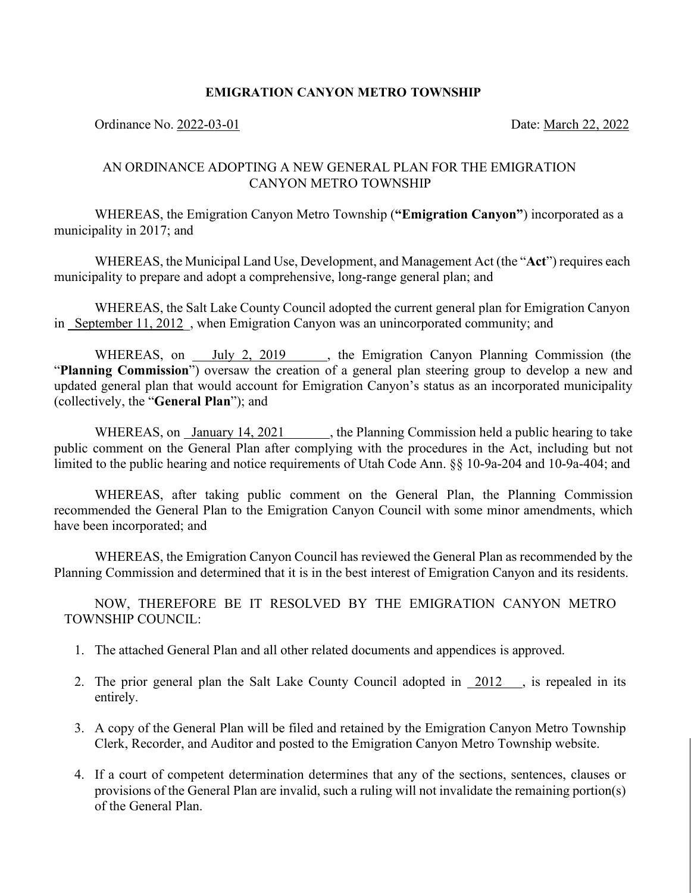## **EMIGRATION CANYON METRO TOWNSHIP**

Ordinance No. 2022-03-01 Date: March 22, 2022

## AN ORDINANCE ADOPTING A NEW GENERAL PLAN FOR THE EMIGRATION CANYON METRO TOWNSHIP

WHEREAS, the Emigration Canyon Metro Township (**"Emigration Canyon"**) incorporated as a municipality in 2017; and

WHEREAS, the Municipal Land Use, Development, and Management Act (the "**Act**") requires each municipality to prepare and adopt a comprehensive, long-range general plan; and

WHEREAS, the Salt Lake County Council adopted the current general plan for Emigration Canyon in September 11, 2012, when Emigration Canyon was an unincorporated community; and

WHEREAS, on July 2, 2019 , the Emigration Canyon Planning Commission (the "**Planning Commission**") oversaw the creation of a general plan steering group to develop a new and updated general plan that would account for Emigration Canyon's status as an incorporated municipality (collectively, the "**General Plan**"); and

WHEREAS, on January 14, 2021 , the Planning Commission held a public hearing to take public comment on the General Plan after complying with the procedures in the Act, including but not limited to the public hearing and notice requirements of Utah Code Ann. §§ 10-9a-204 and 10-9a-404; and

WHEREAS, after taking public comment on the General Plan, the Planning Commission recommended the General Plan to the Emigration Canyon Council with some minor amendments, which have been incorporated; and

WHEREAS, the Emigration Canyon Council has reviewed the General Plan as recommended by the Planning Commission and determined that it is in the best interest of Emigration Canyon and its residents.

NOW, THEREFORE BE IT RESOLVED BY THE EMIGRATION CANYON METRO TOWNSHIP COUNCIL:

- 1. The attached General Plan and all other related documents and appendices is approved.
- 2. The prior general plan the Salt Lake County Council adopted in  $\frac{2012}{100}$ , is repealed in its entirely.
- 3. A copy of the General Plan will be filed and retained by the Emigration Canyon Metro Township Clerk, Recorder, and Auditor and posted to the Emigration Canyon Metro Township website.
- 4. If a court of competent determination determines that any of the sections, sentences, clauses or provisions of the General Plan are invalid, such a ruling will not invalidate the remaining portion(s) of the General Plan.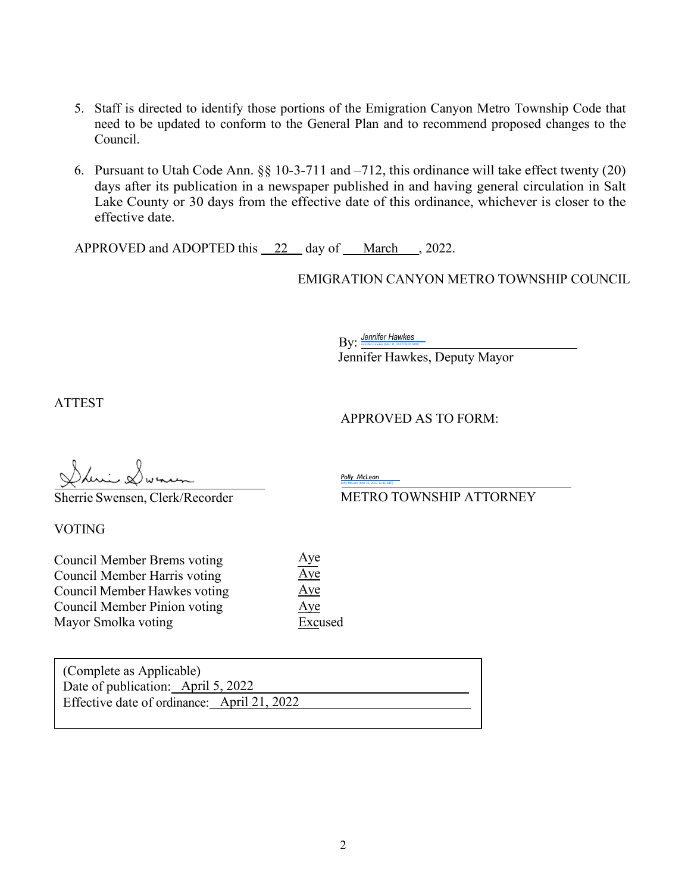- 5. Staff is directed to identify those portions of the Emigration Canyon Metro Township Code that need to be updated to conform to the General Plan and to recommend proposed changes to the Council.
- 6. Pursuant to Utah Code Ann. §§ 10-3-711 and –712, this ordinance will take effect twenty (20) days after its publication in a newspaper published in and having general circulation in Salt Lake County or 30 days from the effective date of this ordinance, whichever is closer to the effective date.

APPROVED and ADOPTED this 22 day of March , 2022.

EMIGRATION CANYON METRO TOWNSHIP COUNCIL

By: *[Jennifer](https://na1.documents.adobe.com/verifier?tx=CBJCHBCAABAA6twK90EFAO2n_SOPjxUqobc--e7IHJWt)* **[Hawkes](https://na1.documents.adobe.com/verifier?tx=CBJCHBCAABAA6twK90EFAO2n_SOPjxUqobc--e7IHJWt)** (Mar 31, 2022 09:45 MDT)

Jennifer Hawkes, Deputy Mayor

ATTEST

APPROVED AS TO FORM:

Sherrie Swensen, Clerk/Recorder

VOTING

Council Member Brems voting Council Member Harris voting Council Member Hawkes voting Council Member Pinion voting Mayor Smolka voting Aye  $Aye$ Aye Aye Excused

*Polly [McLean](https://adobecancelledaccountschannel.na1.documents.adobe.com/verifier?tx=CBJCHBCAABAA6twK90EFAO2n_SOPjxUqobc--e7IHJWt)* Polly [McLean](https://adobecancelledaccountschannel.na1.documents.adobe.com/verifier?tx=CBJCHBCAABAA6twK90EFAO2n_SOPjxUqobc--e7IHJWt) (Mar 31, 2022 11:36 MDT)

METRO TOWNSHIP ATTORNEY

(Complete as Applicable) Date of publication: April 5, 2022 Effective date of ordinance: April 21, 2022